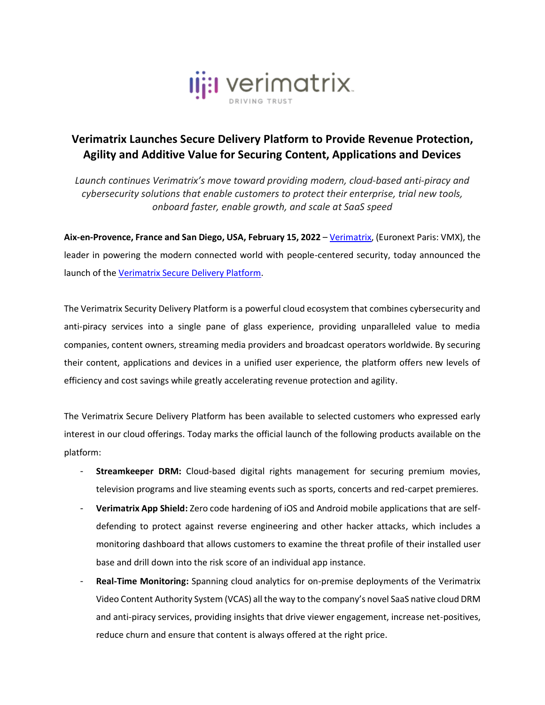

## **Verimatrix Launches Secure Delivery Platform to Provide Revenue Protection, Agility and Additive Value for Securing Content, Applications and Devices**

*Launch continues Verimatrix's move toward providing modern, cloud-based anti-piracy and cybersecurity solutions that enable customers to protect their enterprise, trial new tools, onboard faster, enable growth, and scale at SaaS speed*

**Aix-en-Provence, France and San Diego, USA, February 15, 2022** – [Verimatrix,](http://www.verimatrix.com/) (Euronext Paris: VMX), the leader in powering the modern connected world with people-centered security, today announced the launch of the [Verimatrix Secure Delivery Platform.](https://www.verimatrix.com/platform/)

The Verimatrix Security Delivery Platform is a powerful cloud ecosystem that combines cybersecurity and anti-piracy services into a single pane of glass experience, providing unparalleled value to media companies, content owners, streaming media providers and broadcast operators worldwide. By securing their content, applications and devices in a unified user experience, the platform offers new levels of efficiency and cost savings while greatly accelerating revenue protection and agility.

The Verimatrix Secure Delivery Platform has been available to selected customers who expressed early interest in our cloud offerings. Today marks the official launch of the following products available on the platform:

- **Streamkeeper DRM:** Cloud-based digital rights management for securing premium movies, television programs and live steaming events such as sports, concerts and red-carpet premieres.
- **Verimatrix App Shield:** Zero code hardening of iOS and Android mobile applications that are selfdefending to protect against reverse engineering and other hacker attacks, which includes a monitoring dashboard that allows customers to examine the threat profile of their installed user base and drill down into the risk score of an individual app instance.
- **Real-Time Monitoring:** Spanning cloud analytics for on-premise deployments of the Verimatrix Video Content Authority System (VCAS) all the way to the company's novel SaaS native cloud DRM and anti-piracy services, providing insights that drive viewer engagement, increase net-positives, reduce churn and ensure that content is always offered at the right price.